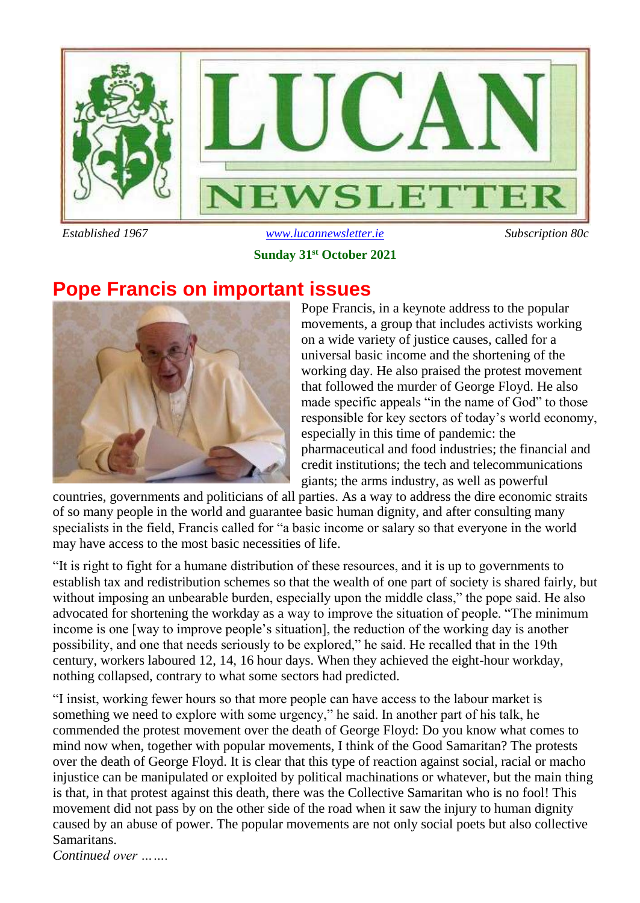

### *Established 1967 [www.lucannewsletter.ie](http://www.lucannewsletter.ie/) Subscription 80c* **Sunday 31st October 2021**

### **Pope Francis on important issues**



Pope Francis, in a keynote address to the popular movements, a group that includes activists working on a wide variety of justice causes, called for a universal basic income and the shortening of the working day. He also praised the protest movement that followed the murder of George Floyd. He also made specific appeals "in the name of God" to those responsible for key sectors of today's world economy, especially in this time of pandemic: the pharmaceutical and food industries; the financial and credit institutions; the tech and telecommunications giants; the arms industry, as well as powerful

countries, governments and politicians of all parties. As a way to address the dire economic straits of so many people in the world and guarantee basic human dignity, and after consulting many specialists in the field, Francis called for "a basic income or salary so that everyone in the world may have access to the most basic necessities of life.

"It is right to fight for a humane distribution of these resources, and it is up to governments to establish tax and redistribution schemes so that the wealth of one part of society is shared fairly, but without imposing an unbearable burden, especially upon the middle class," the pope said. He also advocated for shortening the workday as a way to improve the situation of people. "The minimum income is one [way to improve people's situation], the reduction of the working day is another possibility, and one that needs seriously to be explored," he said. He recalled that in the 19th century, workers laboured 12, 14, 16 hour days. When they achieved the eight-hour workday, nothing collapsed, contrary to what some sectors had predicted.

"I insist, working fewer hours so that more people can have access to the labour market is something we need to explore with some urgency," he said. In another part of his talk, he commended the protest movement over the death of George Floyd: Do you know what comes to mind now when, together with popular movements, I think of the Good Samaritan? The protests over the death of George Floyd. It is clear that this type of reaction against social, racial or macho injustice can be manipulated or exploited by political machinations or whatever, but the main thing is that, in that protest against this death, there was the Collective Samaritan who is no fool! This movement did not pass by on the other side of the road when it saw the injury to human dignity caused by an abuse of power. The popular movements are not only social poets but also collective Samaritans.

*Continued over …….*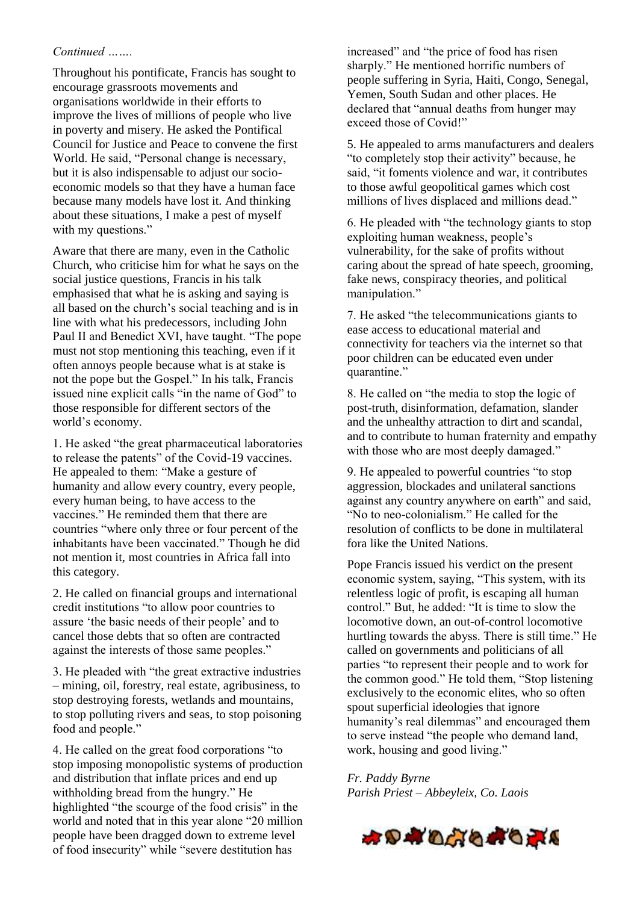#### *Continued …….*

Throughout his pontificate, Francis has sought to encourage grassroots movements and organisations worldwide in their efforts to improve the lives of millions of people who live in poverty and misery. He asked the Pontifical Council for Justice and Peace to convene the first World. He said, "Personal change is necessary, but it is also indispensable to adjust our socioeconomic models so that they have a human face because many models have lost it. And thinking about these situations, I make a pest of myself with my questions."

Aware that there are many, even in the Catholic Church, who criticise him for what he says on the social justice questions, Francis in his talk emphasised that what he is asking and saying is all based on the church's social teaching and is in line with what his predecessors, including John Paul II and Benedict XVI, have taught. "The pope must not stop mentioning this teaching, even if it often annoys people because what is at stake is not the pope but the Gospel." In his talk, Francis issued nine explicit calls "in the name of God" to those responsible for different sectors of the world's economy.

1. He asked "the great pharmaceutical laboratories to release the patents" of the Covid-19 vaccines. He appealed to them: "Make a gesture of humanity and allow every country, every people, every human being, to have access to the vaccines." He reminded them that there are countries "where only three or four percent of the inhabitants have been vaccinated." Though he did not mention it, most countries in Africa fall into this category.

2. He called on financial groups and international credit institutions "to allow poor countries to assure 'the basic needs of their people' and to cancel those debts that so often are contracted against the interests of those same peoples."

3. He pleaded with "the great extractive industries – mining, oil, forestry, real estate, agribusiness, to stop destroying forests, wetlands and mountains, to stop polluting rivers and seas, to stop poisoning food and people."

4. He called on the great food corporations "to stop imposing monopolistic systems of production and distribution that inflate prices and end up withholding bread from the hungry." He highlighted "the scourge of the food crisis" in the world and noted that in this year alone "20 million people have been dragged down to extreme level of food insecurity" while "severe destitution has

increased" and "the price of food has risen sharply." He mentioned horrific numbers of people suffering in Syria, Haiti, Congo, Senegal, Yemen, South Sudan and other places. He declared that "annual deaths from hunger may exceed those of Covid!"

5. He appealed to arms manufacturers and dealers "to completely stop their activity" because, he said, "it foments violence and war, it contributes to those awful geopolitical games which cost millions of lives displaced and millions dead."

6. He pleaded with "the technology giants to stop exploiting human weakness, people's vulnerability, for the sake of profits without caring about the spread of hate speech, grooming, fake news, conspiracy theories, and political manipulation."

7. He asked "the telecommunications giants to ease access to educational material and connectivity for teachers via the internet so that poor children can be educated even under quarantine."

8. He called on "the media to stop the logic of post-truth, disinformation, defamation, slander and the unhealthy attraction to dirt and scandal, and to contribute to human fraternity and empathy with those who are most deeply damaged."

9. He appealed to powerful countries "to stop aggression, blockades and unilateral sanctions against any country anywhere on earth" and said, "No to neo-colonialism." He called for the resolution of conflicts to be done in multilateral fora like the United Nations.

Pope Francis issued his verdict on the present economic system, saying, "This system, with its relentless logic of profit, is escaping all human control." But, he added: "It is time to slow the locomotive down, an out-of-control locomotive hurtling towards the abyss. There is still time." He called on governments and politicians of all parties "to represent their people and to work for the common good." He told them, "Stop listening exclusively to the economic elites, who so often spout superficial ideologies that ignore humanity's real dilemmas" and encouraged them to serve instead "the people who demand land, work, housing and good living."

*Fr. Paddy Byrne Parish Priest – Abbeyleix, Co. Laois*

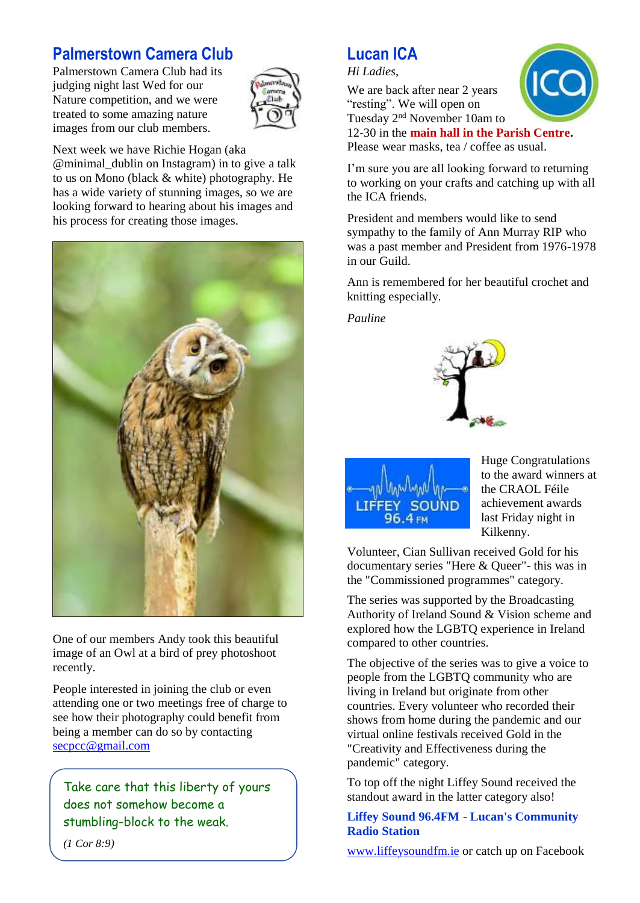### **Palmerstown Camera Club**

Palmerstown Camera Club had its judging night last Wed for our Nature competition, and we were treated to some amazing nature images from our club members.



Next week we have Richie Hogan (aka @minimal\_dublin on Instagram) in to give a talk to us on Mono (black & white) photography. He has a wide variety of stunning images, so we are looking forward to hearing about his images and his process for creating those images.



One of our members Andy took this beautiful image of an Owl at a bird of prey photoshoot recently.

People interested in joining the club or even attending one or two meetings free of charge to see how their photography could benefit from being a member can do so by contacting [secpcc@gmail.com](mailto:secpcc@gmail.com)

Take care that this liberty of yours does not somehow become a stumbling-block to the weak.

### **Lucan ICA**

*Hi Ladies*,

We are back after near 2 years "resting". We will open on Tuesday 2nd November 10am to 12-30 in the **main hall in the Parish Centre.**



Please wear masks, tea / coffee as usual.

I'm sure you are all looking forward to returning to working on your crafts and catching up with all the ICA friends.

President and members would like to send sympathy to the family of Ann Murray RIP who was a past member and President from 1976-1978 in our Guild.

Ann is remembered for her beautiful crochet and knitting especially.

*Pauline*





Huge Congratulations to the award winners at the CRAOL Féile achievement awards last Friday night in Kilkenny.

Volunteer, Cian Sullivan received Gold for his documentary series "Here & Queer"- this was in the "Commissioned programmes" category.

The series was supported by the Broadcasting Authority of Ireland Sound & Vision scheme and explored how the LGBTQ experience in Ireland compared to other countries.

The objective of the series was to give a voice to people from the LGBTQ community who are living in Ireland but originate from other countries. Every volunteer who recorded their shows from home during the pandemic and our virtual online festivals received Gold in the "Creativity and Effectiveness during the pandemic" category.

To top off the night Liffey Sound received the standout award in the latter category also!

**Liffey Sound 96.4FM - Lucan's Community Radio Station**

[www.liffeysoundfm.ie](http://www.liffeysoundfm.ie/) or catch up on Facebook

*(1 Cor 8:9)*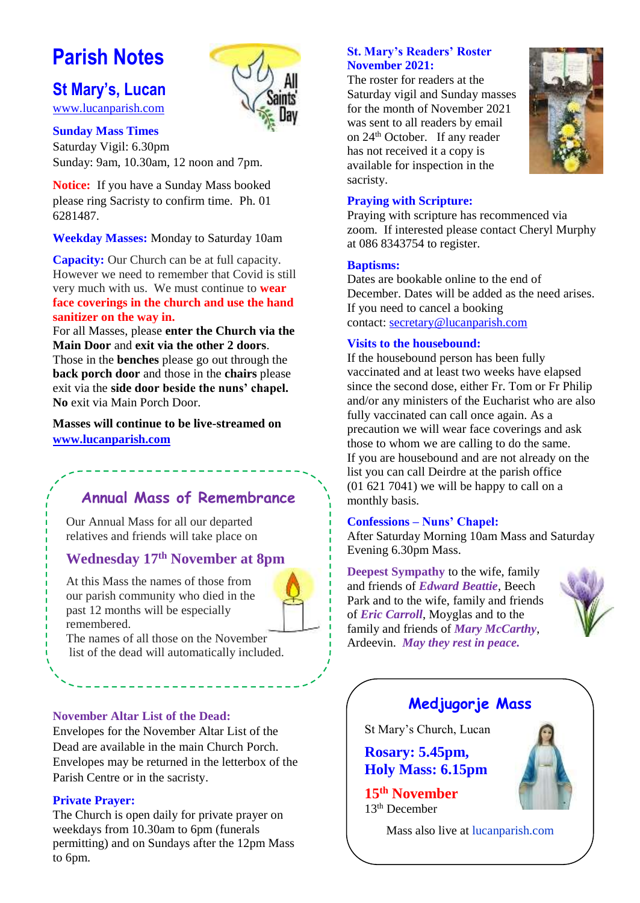# **Parish Notes**

**St Mary's, Lucan** 



### [www.lucanparish.com](http://www.lucanparish.com/) **Sunday Mass Times**

Saturday Vigil: 6.30pm Sunday: 9am, 10.30am, 12 noon and 7pm.

**Notice:** If you have a Sunday Mass booked please ring Sacristy to confirm time. Ph. 01 6281487.

**Weekday Masses:** Monday to Saturday 10am

**Capacity:** Our Church can be at full capacity. However we need to remember that Covid is still very much with us. We must continue to **wear face coverings in the church and use the hand sanitizer on the way in.**

For all Masses, please **enter the Church via the Main Door** and **exit via the other 2 doors**. Those in the **benches** please go out through the **back porch door** and those in the **chairs** please exit via the **side door beside the nuns' chapel. No** exit via Main Porch Door.

**Masses will continue to be live-streamed on [www.lucanparish.com](http://www.lucanparish.com/)**

### **Annual Mass of Remembrance**

Our Annual Mass for all our departed relatives and friends will take place on

### **Wednesday 17th November at 8pm**

At this Mass the names of those from our parish community who died in the past 12 months will be especially remembered.



The names of all those on the November list of the dead will automatically included.

#### **November Altar List of the Dead:**

Envelopes for the November Altar List of the Dead are available in the main Church Porch. Envelopes may be returned in the letterbox of the Parish Centre or in the sacristy.

#### **Private Prayer:**

The Church is open daily for private prayer on weekdays from 10.30am to 6pm (funerals permitting) and on Sundays after the 12pm Mass to 6pm.

#### **St. Mary's Readers' Roster November 2021:**

The roster for readers at the Saturday vigil and Sunday masses for the month of November 2021 was sent to all readers by email on 24th October. If any reader has not received it a copy is available for inspection in the sacristy.



#### **Praying with Scripture:**

Praying with scripture has recommenced via zoom. If interested please contact Cheryl Murphy at 086 8343754 to register.

#### **Baptisms:**

Dates are bookable online to the end of December. Dates will be added as the need arises. If you need to cancel a booking contact: [secretary@lucanparish.com](mailto:secretary@lucanparish.com?subject=Cancellation%20of%20Baptism%20Booking&body=Dear%20Secretary%2C%0AI%20wish%20to%20cancel%20the%20booking%20made%20for%20baby%3A%0Aon%20date%3A%0AThank%20You)

#### **Visits to the housebound:**

If the housebound person has been fully vaccinated and at least two weeks have elapsed since the second dose, either Fr. Tom or Fr Philip and/or any ministers of the Eucharist who are also fully vaccinated can call once again. As a precaution we will wear face coverings and ask those to whom we are calling to do the same. If you are housebound and are not already on the list you can call Deirdre at the parish office (01 621 7041) we will be happy to call on a monthly basis.

#### **Confessions – Nuns' Chapel:**

After Saturday Morning 10am Mass and Saturday Evening 6.30pm Mass.

**Deepest Sympathy** to the wife, family and friends of *Edward Beattie*, Beech Park and to the wife, family and friends of *Eric Carroll*, Moyglas and to the family and friends of *Mary McCarthy*, Ardeevin. *May they rest in peace.*



### **Medjugorje Mass**

St Mary's Church, Lucan

**Rosary: 5.45pm, Holy Mass: 6.15pm**

**15th November** 13th December

Mass also live at lucanparish.com

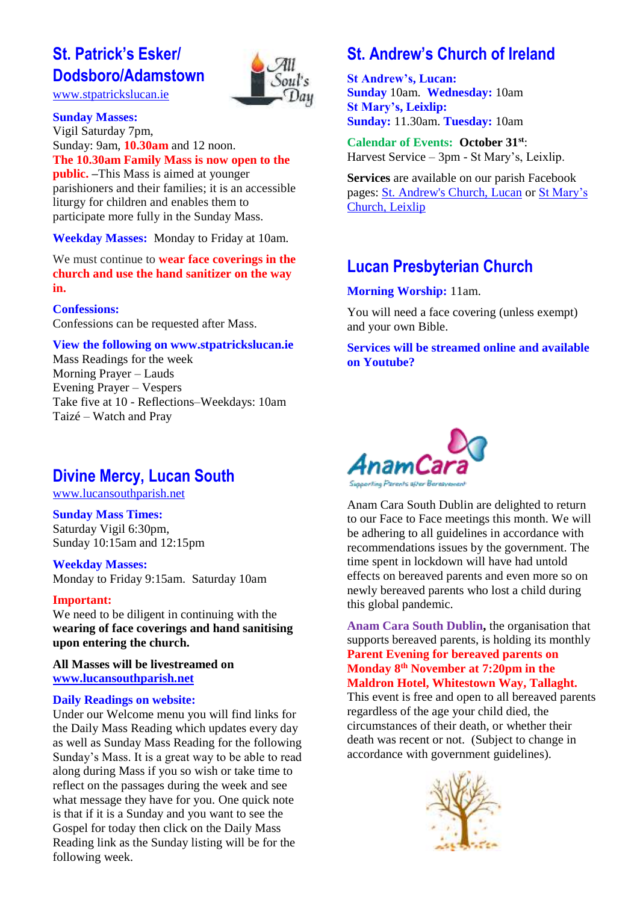### **St. Patrick's Esker/ Dodsboro/Adamstown**



[www.stpatrickslucan.ie](http://www.stpatrickslucan.ie/)

**Sunday Masses:**

Vigil Saturday 7pm, Sunday: 9am, **10.30am** and 12 noon. **The 10.30am Family Mass is now open to the public. –**This Mass is aimed at younger parishioners and their families; it is an accessible liturgy for children and enables them to participate more fully in the Sunday Mass.

**Weekday Masses:** Monday to Friday at 10am.

We must continue to **wear face coverings in the church and use the hand sanitizer on the way in.**

#### **Confessions:**

Confessions can be requested after Mass.

#### **View the following on www.stpatrickslucan.ie**

Mass Readings for the week Morning Prayer – Lauds Evening Prayer – Vespers Take five at 10 - Reflections–Weekdays: 10am Taizé – Watch and Pray

### **Divine Mercy, Lucan South**

[www.lucansouthparish.net](http://www.lucansouthparish.net/)

### **Sunday Mass Times:**

Saturday Vigil 6:30pm, Sunday 10:15am and 12:15pm

### **Weekday Masses:**

Monday to Friday 9:15am. Saturday 10am

#### **Important:**

We need to be diligent in continuing with the **wearing of face coverings and hand sanitising upon entering the church.**

**All Masses will be livestreamed on [www.lucansouthparish.net](http://www.lucansouthparish.net/)**

#### **Daily Readings on website:**

Under our Welcome menu you will find links for the Daily Mass Reading which updates every day as well as Sunday Mass Reading for the following Sunday's Mass. It is a great way to be able to read along during Mass if you so wish or take time to reflect on the passages during the week and see what message they have for you. One quick note is that if it is a Sunday and you want to see the Gospel for today then click on the Daily Mass Reading link as the Sunday listing will be for the following week.

### **St. Andrew's Church of Ireland**

**St Andrew's, Lucan: Sunday** 10am. **Wednesday:** 10am **St Mary's, Leixlip: Sunday:** 11.30am. **Tuesday:** 10am

**Calendar of Events: October 31st**: Harvest Service – 3pm - St Mary's, Leixlip.

**Services** are available on our parish Facebook pages: [St. Andrew's Church, Lucan](https://www.facebook.com/standrewslucan/) or [St Mary's](https://www.facebook.com/stmarysleixlip/)  [Church, Leixlip](https://www.facebook.com/stmarysleixlip/)

### **Lucan Presbyterian Church**

#### **Morning Worship:** 11am.

You will need a face covering (unless exempt) and your own Bible.

#### **Services will be streamed online and available on Youtube?**



Anam Cara South Dublin are delighted to return to our Face to Face meetings this month. We will be adhering to all guidelines in accordance with recommendations issues by the government. The time spent in lockdown will have had untold effects on bereaved parents and even more so on newly bereaved parents who lost a child during this global pandemic.

**Anam Cara South Dublin,** the organisation that supports bereaved parents, is holding its monthly **Parent Evening for bereaved parents on Monday 8th November at 7:20pm in the Maldron Hotel, Whitestown Way, Tallaght.**

This event is free and open to all bereaved parents regardless of the age your child died, the circumstances of their death, or whether their death was recent or not. (Subject to change in accordance with government guidelines).

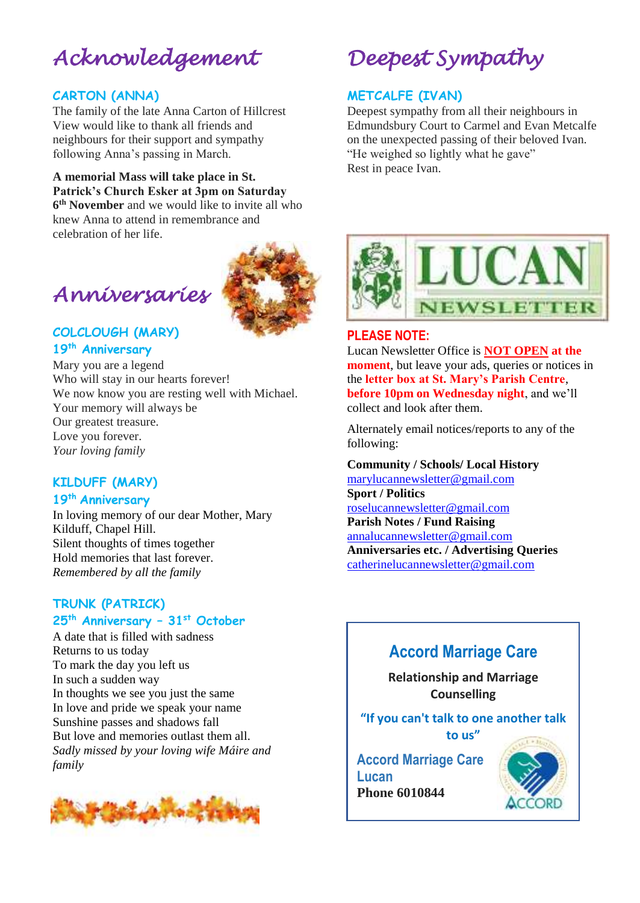# *Acknowledgement*

### **CARTON (ANNA)**

The family of the late Anna Carton of Hillcrest View would like to thank all friends and neighbours for their support and sympathy following Anna's passing in March.

#### **A memorial Mass will take place in St. Patrick's Church Esker at 3pm on Saturday**

**6 th November** and we would like to invite all who knew Anna to attend in remembrance and celebration of her life.

# **COLCLOUGH (MARY)**

*Anniversaries* 

### **19th Anniversary**

Mary you are a legend Who will stay in our hearts forever! We now know you are resting well with Michael. Your memory will always be Our greatest treasure. Love you forever. *Your loving family*

### **KILDUFF (MARY)**

### **19th Anniversary**

In loving memory of our dear Mother, Mary Kilduff, Chapel Hill. Silent thoughts of times together Hold memories that last forever. *Remembered by all the family*

### **TRUNK (PATRICK) 25th Anniversary – 31st October**

A date that is filled with sadness Returns to us today To mark the day you left us In such a sudden way In thoughts we see you just the same In love and pride we speak your name Sunshine passes and shadows fall But love and memories outlast them all. *Sadly missed by your loving wife Máire and family*



# *Deepest Sympathy*

### **METCALFE (IVAN)**

Deepest sympathy from all their neighbours in Edmundsbury Court to Carmel and Evan Metcalfe on the unexpected passing of their beloved Ivan. "He weighed so lightly what he gave" Rest in peace Ivan.



### **PLEASE NOTE:**

Lucan Newsletter Office is **NOT OPEN at the moment**, but leave your ads, queries or notices in the **letter box at St. Mary's Parish Centre**, **before 10pm on Wednesday night**, and we'll collect and look after them.

Alternately email notices/reports to any of the following:

#### **Community / Schools/ Local History**

[marylucannewsletter@gmail.com](mailto:marylucannewsletter@gmail.com)  **Sport / Politics** [roselucannewsletter@gmail.com](mailto:roselucannewsletter@gmail.com) **Parish Notes / Fund Raising** [annalucannewsletter@gmail.com](mailto:annalucannewsletter@gmail.com) **Anniversaries etc. / Advertising Queries**  [catherinelucannewsletter@gmail.com](mailto:catherinelucannewsletter@gmail.com)

# **Accord Marriage Care**

**Relationship and Marriage Counselling**

### **"If you can't talk to one another talk**

**to us"**

**Accord Marriage Care Lucan Phone 6010844**

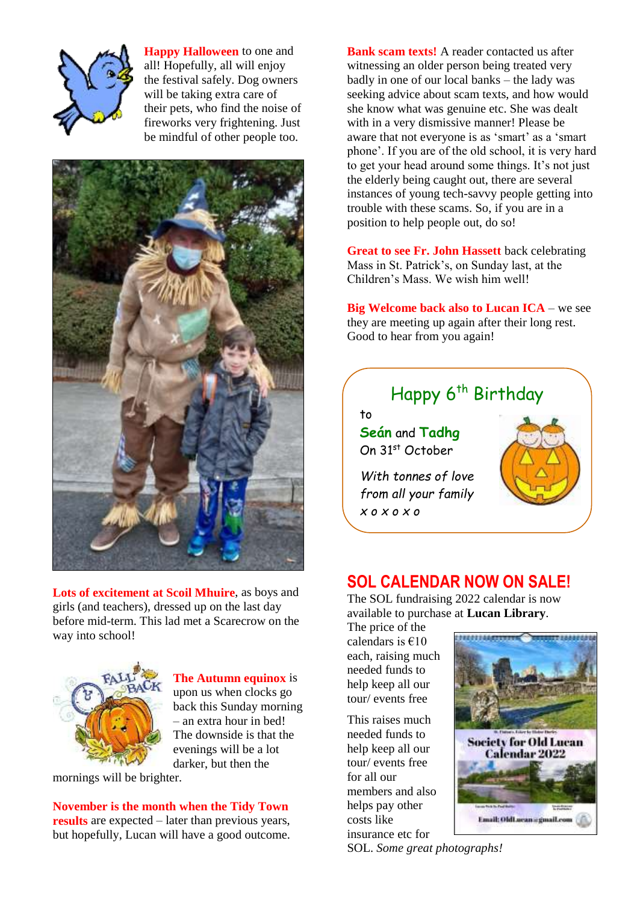

**Happy Halloween** to one and all! Hopefully, all will enjoy the festival safely. Dog owners will be taking extra care of their pets, who find the noise of fireworks very frightening. Just be mindful of other people too.



**Lots of excitement at Scoil Mhuire**, as boys and girls (and teachers), dressed up on the last day before mid-term. This lad met a Scarecrow on the way into school!



**The Autumn equinox** is upon us when clocks go back this Sunday morning – an extra hour in bed! The downside is that the evenings will be a lot darker, but then the

mornings will be brighter.

**November is the month when the Tidy Town results** are expected – later than previous years, but hopefully, Lucan will have a good outcome.

**Bank scam texts!** A reader contacted us after witnessing an older person being treated very badly in one of our local banks – the lady was seeking advice about scam texts, and how would she know what was genuine etc. She was dealt with in a very dismissive manner! Please be aware that not everyone is as 'smart' as a 'smart phone'. If you are of the old school, it is very hard to get your head around some things. It's not just the elderly being caught out, there are several instances of young tech-savvy people getting into trouble with these scams. So, if you are in a position to help people out, do so!

**Great to see Fr. John Hassett** back celebrating Mass in St. Patrick's, on Sunday last, at the Children's Mass. We wish him well!

**Big Welcome back also to Lucan ICA** – we see they are meeting up again after their long rest. Good to hear from you again!

## Happy 6<sup>th</sup> Birthday

to **Seán** and **Tadhg** On 31st October

*With tonnes of love from all your family x o x o x o*



### **SOL CALENDAR NOW ON SALE!**

The SOL fundraising 2022 calendar is now available to purchase at **Lucan Library**.

The price of the calendars is  $€10$ each, raising much needed funds to help keep all our tour/ events free

This raises much needed funds to help keep all our tour/ events free for all our members and also helps pay other costs like insurance etc for



SOL. *Some great photographs!*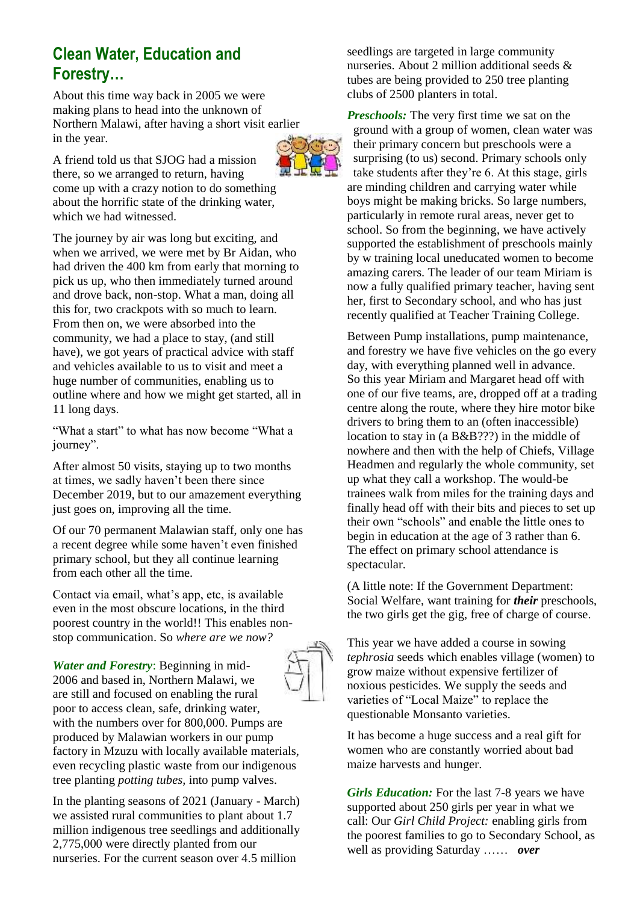### **Clean Water, Education and Forestry…**

About this time way back in 2005 we were making plans to head into the unknown of Northern Malawi, after having a short visit earlier in the year.

A friend told us that SJOG had a mission there, so we arranged to return, having come up with a crazy notion to do something about the horrific state of the drinking water, which we had witnessed.

The journey by air was long but exciting, and when we arrived, we were met by Br Aidan, who had driven the 400 km from early that morning to pick us up, who then immediately turned around and drove back, non-stop. What a man, doing all this for, two crackpots with so much to learn. From then on, we were absorbed into the community, we had a place to stay, (and still have), we got years of practical advice with staff and vehicles available to us to visit and meet a huge number of communities, enabling us to outline where and how we might get started, all in 11 long days.

"What a start" to what has now become "What a journey".

After almost 50 visits, staying up to two months at times, we sadly haven't been there since December 2019, but to our amazement everything just goes on, improving all the time.

Of our 70 permanent Malawian staff, only one has a recent degree while some haven't even finished primary school, but they all continue learning from each other all the time.

Contact via email, what's app, etc, is available even in the most obscure locations, in the third poorest country in the world!! This enables nonstop communication. So *where are we now?*

*Water and Forestry*: Beginning in mid-2006 and based in, Northern Malawi, we are still and focused on enabling the rural poor to access clean, safe, drinking water, with the numbers over for 800,000. Pumps are produced by Malawian workers in our pump factory in Mzuzu with locally available materials, even recycling plastic waste from our indigenous tree planting *potting tubes,* into pump valves.

In the planting seasons of 2021 (January - March) we assisted rural communities to plant about 1.7 million indigenous tree seedlings and additionally 2,775,000 were directly planted from our nurseries. For the current season over 4.5 million

seedlings are targeted in large community nurseries. About 2 million additional seeds & tubes are being provided to 250 tree planting clubs of 2500 planters in total.

*Preschools:* The very first time we sat on the ground with a group of women, clean water was their primary concern but preschools were a surprising (to us) second. Primary schools only take students after they're 6. At this stage, girls are minding children and carrying water while boys might be making bricks. So large numbers, particularly in remote rural areas, never get to school. So from the beginning, we have actively supported the establishment of preschools mainly by w training local uneducated women to become amazing carers. The leader of our team Miriam is now a fully qualified primary teacher, having sent her, first to Secondary school, and who has just recently qualified at Teacher Training College.

Between Pump installations, pump maintenance, and forestry we have five vehicles on the go every day, with everything planned well in advance. So this year Miriam and Margaret head off with one of our five teams, are, dropped off at a trading centre along the route, where they hire motor bike drivers to bring them to an (often inaccessible) location to stay in (a B&B???) in the middle of nowhere and then with the help of Chiefs, Village Headmen and regularly the whole community, set up what they call a workshop. The would-be trainees walk from miles for the training days and finally head off with their bits and pieces to set up their own "schools" and enable the little ones to begin in education at the age of 3 rather than 6. The effect on primary school attendance is spectacular.

(A little note: If the Government Department: Social Welfare, want training for *their* preschools, the two girls get the gig, free of charge of course.

This year we have added a course in sowing *tephrosia* seeds which enables village (women) to grow maize without expensive fertilizer of noxious pesticides. We supply the seeds and varieties of "Local Maize" to replace the questionable Monsanto varieties.

It has become a huge success and a real gift for women who are constantly worried about bad maize harvests and hunger.

*Girls Education:* For the last 7-8 years we have supported about 250 girls per year in what we call: Our *Girl Child Project:* enabling girls from the poorest families to go to Secondary School, as well as providing Saturday …… *over*

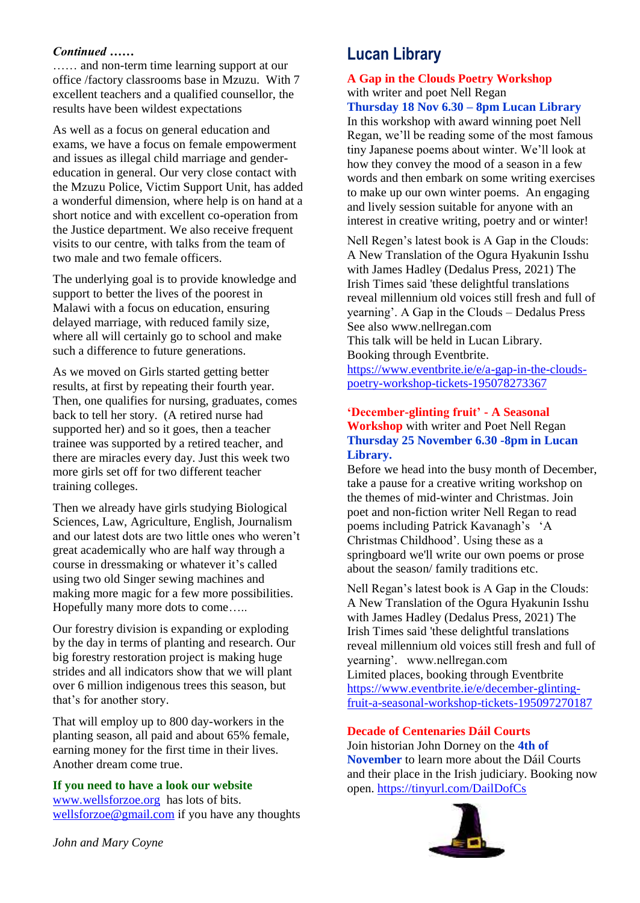#### *Continued ……*

…… and non-term time learning support at our office /factory classrooms base in Mzuzu. With 7 excellent teachers and a qualified counsellor, the results have been wildest expectations

As well as a focus on general education and exams, we have a focus on female empowerment and issues as illegal child marriage and gendereducation in general. Our very close contact with the Mzuzu Police, Victim Support Unit, has added a wonderful dimension, where help is on hand at a short notice and with excellent co-operation from the Justice department. We also receive frequent visits to our centre, with talks from the team of two male and two female officers.

The underlying goal is to provide knowledge and support to better the lives of the poorest in Malawi with a focus on education, ensuring delayed marriage, with reduced family size, where all will certainly go to school and make such a difference to future generations.

As we moved on Girls started getting better results, at first by repeating their fourth year. Then, one qualifies for nursing, graduates, comes back to tell her story. (A retired nurse had supported her) and so it goes, then a teacher trainee was supported by a retired teacher, and there are miracles every day. Just this week two more girls set off for two different teacher training colleges.

Then we already have girls studying Biological Sciences, Law, Agriculture, English, Journalism and our latest dots are two little ones who weren't great academically who are half way through a course in dressmaking or whatever it's called using two old Singer sewing machines and making more magic for a few more possibilities. Hopefully many more dots to come…..

Our forestry division is expanding or exploding by the day in terms of planting and research. Our big forestry restoration project is making huge strides and all indicators show that we will plant over 6 million indigenous trees this season, but that's for another story.

That will employ up to 800 day-workers in the planting season, all paid and about 65% female, earning money for the first time in their lives. Another dream come true.

#### **If you need to have a look our website**

[www.wellsforzoe.org](http://www.wellsforzoe.org/) has lots of bits. [wellsforzoe@gmail.com](mailto:wellsforzoe@gmail.com) if you have any thoughts

### **Lucan Library**

### **A Gap in the Clouds Poetry Workshop**  with writer and poet Nell Regan

**Thursday 18 Nov 6.30 – 8pm Lucan Library** In this workshop with award winning poet Nell Regan, we'll be reading some of the most famous tiny Japanese poems about winter. We'll look at how they convey the mood of a season in a few words and then embark on some writing exercises to make up our own winter poems. An engaging and lively session suitable for anyone with an interest in creative writing, poetry and or winter!

Nell Regen's latest book is A Gap in the Clouds: A New Translation of the Ogura Hyakunin Isshu with James Hadley (Dedalus Press, 2021) The Irish Times said 'these delightful translations reveal millennium old voices still fresh and full of yearning'. A Gap in the Clouds – Dedalus Press See also www.nellregan.com This talk will be held in Lucan Library.

Booking through Eventbrite.

[https://www.eventbrite.ie/e/a-gap-in-the-clouds](https://www.eventbrite.ie/e/a-gap-in-the-clouds-poetry-workshop-tickets-195078273367)[poetry-workshop-tickets-195078273367](https://www.eventbrite.ie/e/a-gap-in-the-clouds-poetry-workshop-tickets-195078273367)

### **'December-glinting fruit' - A Seasonal Workshop** with writer and Poet Nell Regan **Thursday 25 November 6.30 -8pm in Lucan Library.**

Before we head into the busy month of December, take a pause for a creative writing workshop on the themes of mid-winter and Christmas. Join poet and non-fiction writer Nell Regan to read poems including Patrick Kavanagh's 'A Christmas Childhood'. Using these as a springboard we'll write our own poems or prose about the season/ family traditions etc.

Nell Regan's latest book is A Gap in the Clouds: A New Translation of the Ogura Hyakunin Isshu with James Hadley (Dedalus Press, 2021) The Irish Times said 'these delightful translations reveal millennium old voices still fresh and full of yearning'. www.nellregan.com Limited places, booking through Eventbrite [https://www.eventbrite.ie/e/december-glinting](https://www.eventbrite.ie/e/december-glinting-fruit-a-seasonal-workshop-tickets-195097270187)[fruit-a-seasonal-workshop-tickets-195097270187](https://www.eventbrite.ie/e/december-glinting-fruit-a-seasonal-workshop-tickets-195097270187)

**Decade of Centenaries Dáil Courts**

Join historian John Dorney on the **4th of November** to learn more about the Dáil Courts and their place in the Irish judiciary. Booking now open.<https://tinyurl.com/DailDofCs>



*John and Mary Coyne*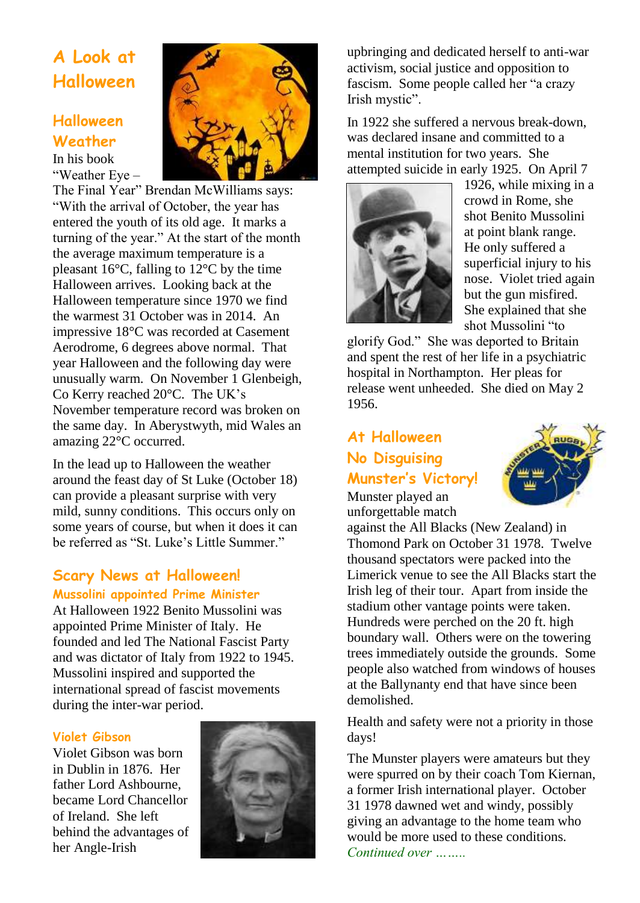## **A Look at Halloween**

### **Halloween Weather**

In his book "Weather Eye –

The Final Year" Brendan McWilliams says: "With the arrival of October, the year has entered the youth of its old age. It marks a turning of the year." At the start of the month the average maximum temperature is a pleasant  $16^{\circ}$ C, falling to  $12^{\circ}$ C by the time Halloween arrives. Looking back at the Halloween temperature since 1970 we find the warmest 31 October was in 2014. An impressive 18°C was recorded at Casement Aerodrome, 6 degrees above normal. That year Halloween and the following day were unusually warm. On November 1 Glenbeigh, Co Kerry reached 20°C. The UK's November temperature record was broken on the same day. In Aberystwyth, mid Wales an amazing 22°C occurred.

In the lead up to Halloween the weather around the feast day of St Luke (October 18) can provide a pleasant surprise with very mild, sunny conditions. This occurs only on some years of course, but when it does it can be referred as "St. Luke's Little Summer."

### **Scary News at Halloween!**

### **Mussolini appointed Prime Minister**

At Halloween 1922 Benito Mussolini was appointed Prime Minister of Italy. He founded and led The National Fascist Party and was dictator of Italy from 1922 to 1945. Mussolini inspired and supported the international spread of fascist movements during the inter-war period.

### **Violet Gibson**

Violet Gibson was born in Dublin in 1876. Her father Lord Ashbourne, became Lord Chancellor of Ireland. She left behind the advantages of her Angle-Irish



upbringing and dedicated herself to anti-war activism, social justice and opposition to fascism. Some people called her "a crazy Irish mystic".

In 1922 she suffered a nervous break-down, was declared insane and committed to a mental institution for two years. She attempted suicide in early 1925. On April 7



1926, while mixing in a crowd in Rome, she shot Benito Mussolini at point blank range. He only suffered a superficial injury to his nose. Violet tried again but the gun misfired. She explained that she shot Mussolini "to

glorify God." She was deported to Britain and spent the rest of her life in a psychiatric hospital in Northampton. Her pleas for release went unheeded. She died on May 2 1956.

### **At Halloween No Disguising Munster's Victory!**



Munster played an unforgettable match

against the All Blacks (New Zealand) in Thomond Park on October 31 1978. Twelve thousand spectators were packed into the Limerick venue to see the All Blacks start the Irish leg of their tour. Apart from inside the stadium other vantage points were taken. Hundreds were perched on the 20 ft. high boundary wall. Others were on the towering trees immediately outside the grounds. Some people also watched from windows of houses at the Ballynanty end that have since been demolished.

Health and safety were not a priority in those days!

The Munster players were amateurs but they were spurred on by their coach Tom Kiernan, a former Irish international player. October 31 1978 dawned wet and windy, possibly giving an advantage to the home team who would be more used to these conditions. *Continued over ……..*

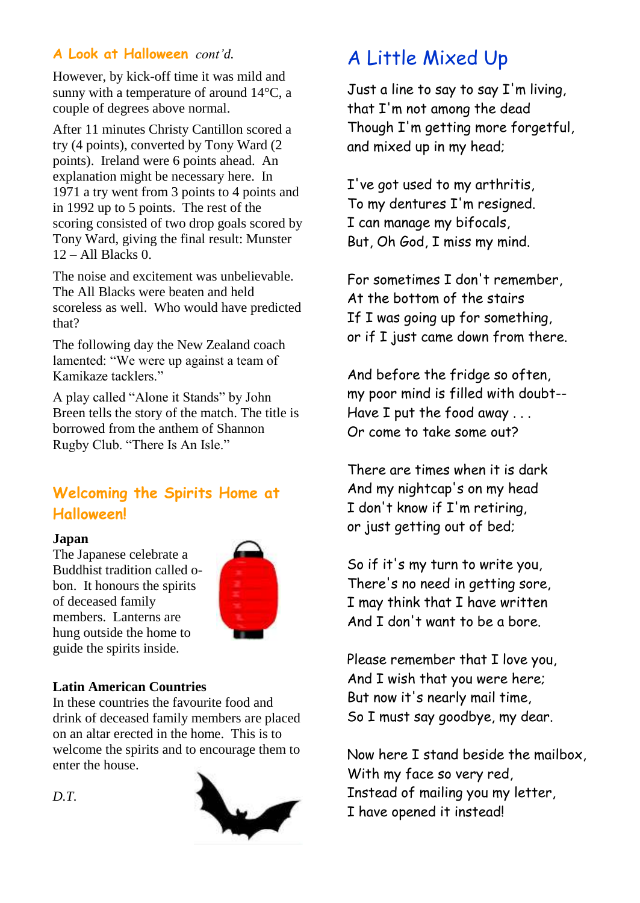### **A Look at Halloween** *cont'd.*

However, by kick-off time it was mild and sunny with a temperature of around 14°C, a couple of degrees above normal.

After 11 minutes Christy Cantillon scored a try (4 points), converted by Tony Ward (2 points). Ireland were 6 points ahead. An explanation might be necessary here. In 1971 a try went from 3 points to 4 points and in 1992 up to 5 points. The rest of the scoring consisted of two drop goals scored by Tony Ward, giving the final result: Munster  $12 -$  All Blacks 0.

The noise and excitement was unbelievable. The All Blacks were beaten and held scoreless as well. Who would have predicted that?

The following day the New Zealand coach lamented: "We were up against a team of Kamikaze tacklers."

A play called "Alone it Stands" by John Breen tells the story of the match. The title is borrowed from the anthem of Shannon Rugby Club. "There Is An Isle."

### **Welcoming the Spirits Home at Halloween!**

### **Japan**

The Japanese celebrate a Buddhist tradition called obon. It honours the spirits of deceased family members. Lanterns are hung outside the home to guide the spirits inside.



### **Latin American Countries**

In these countries the favourite food and drink of deceased family members are placed on an altar erected in the home. This is to welcome the spirits and to encourage them to enter the house.



# A Little Mixed Up

Just a line to say to say I'm living, that I'm not among the dead Though I'm getting more forgetful, and mixed up in my head;

I've got used to my arthritis, To my dentures I'm resigned. I can manage my bifocals, But, Oh God, I miss my mind.

For sometimes I don't remember, At the bottom of the stairs If I was going up for something, or if I just came down from there.

And before the fridge so often, my poor mind is filled with doubt-- Have I put the food away . . . Or come to take some out?

There are times when it is dark And my nightcap's on my head I don't know if I'm retiring, or just getting out of bed;

So if it's my turn to write you, There's no need in getting sore, I may think that I have written And I don't want to be a bore.

Please remember that I love you, And I wish that you were here; But now it's nearly mail time, So I must say goodbye, my dear.

Now here I stand beside the mailbox, With my face so very red, Instead of mailing you my letter, I have opened it instead!

*D.T.*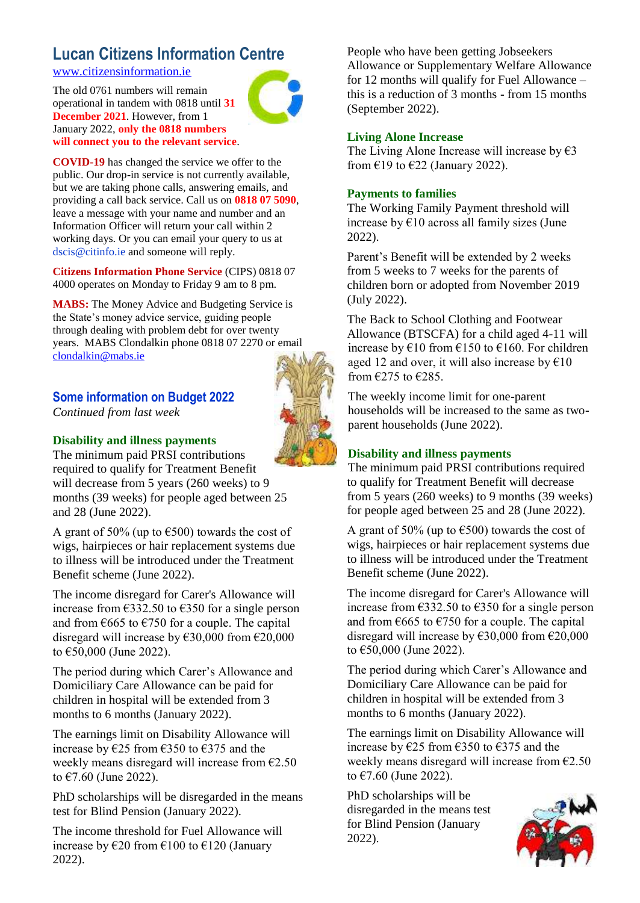### **Lucan Citizens Information Centre**

[www.citizensinformation.ie](http://www.citizensinformation.ie/)

The old 0761 numbers will remain operational in tandem with 0818 until **31 December 2021**. However, from 1 January 2022, **only the 0818 numbers will connect you to the relevant service**.



**COVID-19** has changed the service we offer to the public. Our drop-in service is not currently available, but we are taking phone calls, answering emails, and providing a call back service. Call us on **0818 07 5090**, leave a message with your name and number and an Information Officer will return your call within 2 working days. Or you can email your query to us at dscis@citinfo.ie and someone will reply.

**Citizens Information Phone Service** (CIPS) 0818 07 4000 operates on Monday to Friday 9 am to 8 pm.

**MABS:** The Money Advice and Budgeting Service is the State's money advice service, guiding people through dealing with problem debt for over twenty years. MABS Clondalkin phone 0818 07 2270 or email [clondalkin@mabs.ie](mailto:clondalkin@mabs.ie)

### **Some information on Budget 2022**

*Continued from last week* 

### **Disability and illness payments**

The minimum paid PRSI contributions required to qualify for Treatment Benefit will decrease from 5 years (260 weeks) to 9 months (39 weeks) for people aged between 25 and 28 (June 2022).

A grant of 50% (up to  $6500$ ) towards the cost of wigs, hairpieces or hair replacement systems due to illness will be introduced under the Treatment Benefit scheme (June 2022).

The income disregard for Carer's Allowance will increase from  $\epsilon$ 332.50 to  $\epsilon$ 350 for a single person and from  $665$  to  $6750$  for a couple. The capital disregard will increase by  $\text{\textsterling}30,000$  from  $\text{\textsterling}20,000$ to €50,000 (June 2022).

The period during which Carer's Allowance and Domiciliary Care Allowance can be paid for children in hospital will be extended from 3 months to 6 months (January 2022).

The earnings limit on Disability Allowance will increase by  $\epsilon$ 25 from  $\epsilon$ 350 to  $\epsilon$ 375 and the weekly means disregard will increase from  $\epsilon$ 2.50 to €7.60 (June 2022).

PhD scholarships will be disregarded in the means test for Blind Pension (January 2022).

The income threshold for Fuel Allowance will increase by  $\epsilon$ 20 from  $\epsilon$ 100 to  $\epsilon$ 120 (January 2022).

People who have been getting Jobseekers Allowance or Supplementary Welfare Allowance for 12 months will qualify for Fuel Allowance – this is a reduction of 3 months - from 15 months (September 2022).

### **Living Alone Increase**

The Living Alone Increase will increase by  $\epsilon$ 3 from  $£19$  to  $£22$  (January 2022).

### **Payments to families**

The Working Family Payment threshold will increase by €10 across all family sizes (June 2022).

Parent's Benefit will be extended by 2 weeks from 5 weeks to 7 weeks for the parents of children born or adopted from November 2019 (July 2022).

The Back to School Clothing and Footwear Allowance (BTSCFA) for a child aged 4-11 will increase by  $\epsilon$ 10 from  $\epsilon$ 150 to  $\epsilon$ 160. For children aged 12 and over, it will also increase by  $€10$ from €275 to €285.

The weekly income limit for one-parent households will be increased to the same as twoparent households (June 2022).

### **Disability and illness payments**

The minimum paid PRSI contributions required to qualify for Treatment Benefit will decrease from 5 years (260 weeks) to 9 months (39 weeks) for people aged between 25 and 28 (June 2022).

A grant of 50% (up to  $\epsilon$ 500) towards the cost of wigs, hairpieces or hair replacement systems due to illness will be introduced under the Treatment Benefit scheme (June 2022).

The income disregard for Carer's Allowance will increase from  $\epsilon$ 332.50 to  $\epsilon$ 350 for a single person and from  $\epsilon$ 665 to  $\epsilon$ 750 for a couple. The capital disregard will increase by  $\epsilon$ 30,000 from  $\epsilon$ 20,000 to €50,000 (June 2022).

The period during which Carer's Allowance and Domiciliary Care Allowance can be paid for children in hospital will be extended from 3 months to 6 months (January 2022).

The earnings limit on Disability Allowance will increase by €25 from €350 to €375 and the weekly means disregard will increase from €2.50 to €7.60 (June 2022).

PhD scholarships will be disregarded in the means test for Blind Pension (January 2022).



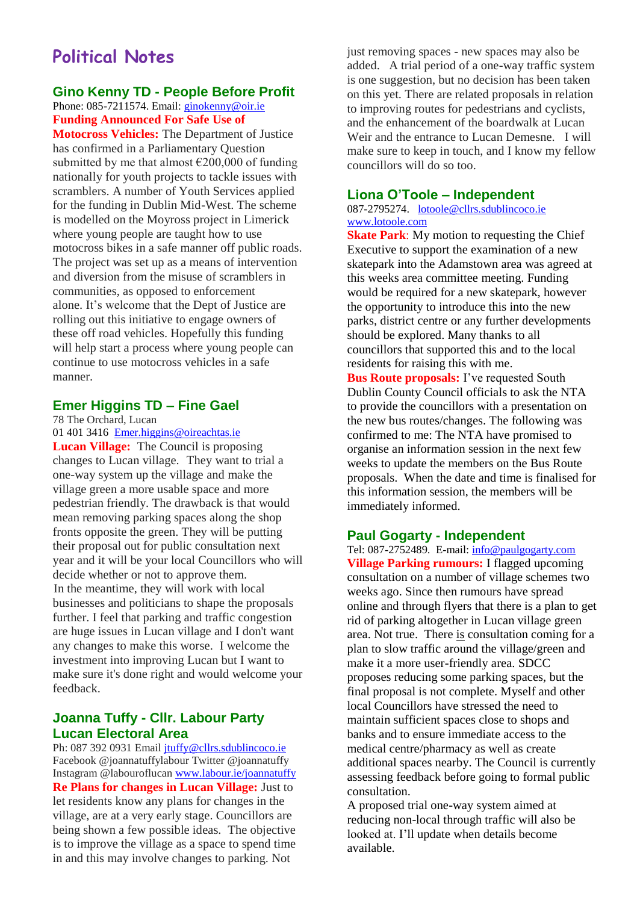### **Political Notes**

#### **Gino Kenny TD - People Before Profit** Phone: 085-7211574. Email: [ginokenny@oir.ie](mailto:ginokenny@oir.ie) **Funding Announced For Safe Use of**

**Motocross Vehicles:** The Department of Justice has confirmed in a Parliamentary Question submitted by me that almost  $\epsilon$ 200,000 of funding nationally for youth projects to tackle issues with scramblers. A number of Youth Services applied for the funding in Dublin Mid-West. The scheme is modelled on the Moyross project in Limerick where young people are taught how to use motocross bikes in a safe manner off public roads. The project was set up as a means of intervention and diversion from the misuse of scramblers in communities, as opposed to enforcement alone. It's welcome that the Dept of Justice are rolling out this initiative to engage owners of these off road vehicles. Hopefully this funding will help start a process where young people can continue to use motocross vehicles in a safe manner.

### **Emer Higgins TD – Fine Gael**

78 The Orchard, Lucan

[01 401 3416](tel:014013416) [Emer.higgins@oireachtas.ie](mailto:Emer.higgins@oireachtas.ie) **Lucan Village:** The Council is proposing changes to Lucan village. They want to trial a one-way system up the village and make the village green a more usable space and more pedestrian friendly. The drawback is that would mean removing parking spaces along the shop fronts opposite the green. They will be putting their proposal out for public consultation next year and it will be your local Councillors who will decide whether or not to approve them. In the meantime, they will work with local businesses and politicians to shape the proposals further. I feel that parking and traffic congestion are huge issues in Lucan village and I don't want any changes to make this worse. I welcome the investment into improving Lucan but I want to make sure it's done right and would welcome your feedback.

### **Joanna Tuffy - Cllr. Labour Party Lucan Electoral Area**

Ph: 087 392 0931 Email [jtuffy@cllrs.sdublincoco.ie](mailto:jtuffy@cllrs.sdublincoco.ie) Facebook @joannatuffylabour Twitter @joannatuffy Instagram @labouroflucan [www.labour.ie/joannatuffy](http://www.labour.ie/joannatuffy) **Re Plans for changes in Lucan Village:** Just to let residents know any plans for changes in the village, are at a very early stage. Councillors are being shown a few possible ideas. The objective is to improve the village as a space to spend time in and this may involve changes to parking. Not

just removing spaces - new spaces may also be added. A trial period of a one-way traffic system is one suggestion, but no decision has been taken on this yet. There are related proposals in relation to improving routes for pedestrians and cyclists, and the enhancement of the boardwalk at Lucan Weir and the entrance to Lucan Demesne. I will make sure to keep in touch, and I know my fellow councillors will do so too.

### **Liona O'Toole – Independent**

087-2795274. [lotoole@cllrs.sdublincoco.ie](mailto:lotoole@cllrs.sdublincoco.ie) [www.lotoole.com](http://www.lotoole.com/)

**Skate Park**: My motion to requesting the Chief Executive to support the examination of a new skatepark into the Adamstown area was agreed at this weeks area committee meeting. Funding would be required for a new skatepark, however the opportunity to introduce this into the new parks, district centre or any further developments should be explored. Many thanks to all councillors that supported this and to the local residents for raising this with me.

**Bus Route proposals:** I've requested South Dublin County Council officials to ask the NTA to provide the councillors with a presentation on the new bus routes/changes. The following was confirmed to me: The NTA have promised to organise an information session in the next few weeks to update the members on the Bus Route proposals. When the date and time is finalised for this information session, the members will be immediately informed.

#### **Paul Gogarty - Independent**

Tel: 087-2752489. E-mail: [info@paulgogarty.com](mailto:info@paulgogarty.com) **Village Parking rumours:** I flagged upcoming consultation on a number of village schemes two weeks ago. Since then rumours have spread online and through flyers that there is a plan to get rid of parking altogether in Lucan village green area. Not true. There is consultation coming for a plan to slow traffic around the village/green and make it a more user-friendly area. SDCC proposes reducing some parking spaces, but the final proposal is not complete. Myself and other local Councillors have stressed the need to maintain sufficient spaces close to shops and banks and to ensure immediate access to the medical centre/pharmacy as well as create additional spaces nearby. The Council is currently assessing feedback before going to formal public consultation.

A proposed trial one-way system aimed at reducing non-local through traffic will also be looked at. I'll update when details become available.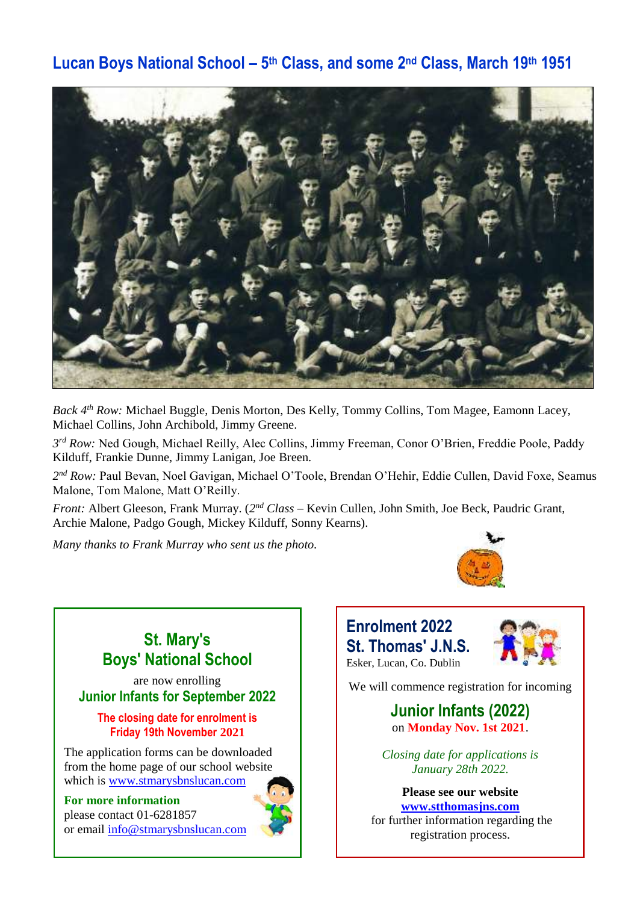### **Lucan Boys National School – 5 th Class, and some 2nd Class, March 19th 1951**



*Back 4th Row:* Michael Buggle, Denis Morton, Des Kelly, Tommy Collins, Tom Magee, Eamonn Lacey, Michael Collins, John Archibold, Jimmy Greene.

*3 rd Row:* Ned Gough, Michael Reilly, Alec Collins, Jimmy Freeman, Conor O'Brien, Freddie Poole, Paddy Kilduff, Frankie Dunne, Jimmy Lanigan, Joe Breen.

*2 nd Row:* Paul Bevan, Noel Gavigan, Michael O'Toole, Brendan O'Hehir, Eddie Cullen, David Foxe, Seamus Malone, Tom Malone, Matt O'Reilly.

*Front:* Albert Gleeson, Frank Murray. (*2 nd Class* – Kevin Cullen, John Smith, Joe Beck, Paudric Grant, Archie Malone, Padgo Gough, Mickey Kilduff, Sonny Kearns).

*Many thanks to Frank Murray who sent us the photo.* 



### **Enrolment 2022 St. Thomas' J.N.S.** Esker, Lucan, Co. Dublin



We will commence registration for incoming

### **Junior Infants (2022)** on **Monday Nov. 1st 2021**.

*Closing date for applications is January 28th 2022.*

**Please see our website [www.stthomasjns.com](http://www.stthomasjns.com/)** for further information regarding the registration process.

**St. Mary's Boys' National School**

are now enrolling **Junior Infants for September 2022**

### **The closing date for enrolment is Friday 19th November 2021**

The application forms can be downloaded from the home page of our school website which is [www.stmarysbnslucan.com](http://www.stmarysbnslucan.com/)

### **For more information**

please contact 01-6281857 or email [info@stmarysbnslucan.com](mailto:info@stmarysbnslucan.com)

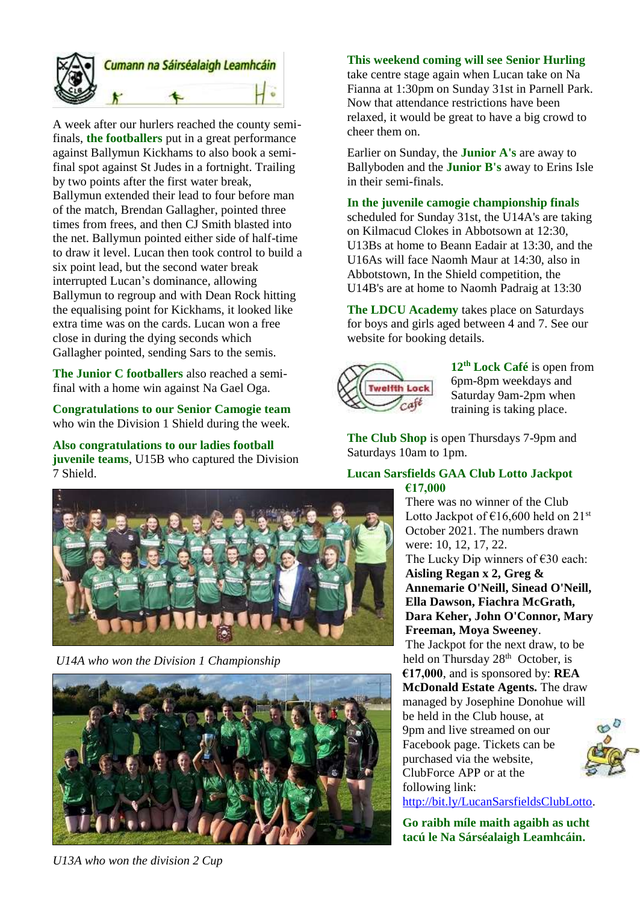

A week after our hurlers reached the county semifinals, **the footballers** put in a great performance against Ballymun Kickhams to also book a semifinal spot against St Judes in a fortnight. Trailing by two points after the first water break, Ballymun extended their lead to four before man of the match, Brendan Gallagher, pointed three times from frees, and then CJ Smith blasted into the net. Ballymun pointed either side of half-time to draw it level. Lucan then took control to build a six point lead, but the second water break interrupted Lucan's dominance, allowing Ballymun to regroup and with Dean Rock hitting the equalising point for Kickhams, it looked like extra time was on the cards. Lucan won a free close in during the dying seconds which Gallagher pointed, sending Sars to the semis.

**The Junior C footballers** also reached a semifinal with a home win against Na Gael Oga.

**Congratulations to our Senior Camogie team** who win the Division 1 Shield during the week.

**Also congratulations to our ladies football juvenile teams**, U15B who captured the Division 7 Shield.



*U14A who won the Division 1 Championship* 



*U13A who won the division 2 Cup* 

### **This weekend coming will see Senior Hurling**

take centre stage again when Lucan take on Na Fianna at 1:30pm on Sunday 31st in Parnell Park. Now that attendance restrictions have been relaxed, it would be great to have a big crowd to cheer them on.

Earlier on Sunday, the **Junior A's** are away to Ballyboden and the **Junior B's** away to Erins Isle in their semi-finals.

#### **In the juvenile camogie championship finals**

scheduled for Sunday 31st, the U14A's are taking on Kilmacud Clokes in Abbotsown at 12:30, U13Bs at home to Beann Eadair at 13:30, and the U16As will face Naomh Maur at 14:30, also in Abbotstown, In the Shield competition, the U14B's are at home to Naomh Padraig at 13:30

**The LDCU Academy** takes place on Saturdays for boys and girls aged between 4 and 7. See our website for booking details.



**12th Lock Café** is open from 6pm-8pm weekdays and Saturday 9am-2pm when training is taking place.

**The Club Shop** is open Thursdays 7-9pm and Saturdays 10am to 1pm.

#### **Lucan Sarsfields GAA Club Lotto Jackpot €17,000**

There was no winner of the Club Lotto Jackpot of  $\text{\large\ensuremath{\in}} 16,600$  held on  $21^{\text{st}}$ October 2021. The numbers drawn were: 10, 12, 17, 22. The Lucky Dip winners of  $\epsilon$ 30 each: **Aisling Regan x 2, Greg & Annemarie O'Neill, Sinead O'Neill, Ella Dawson, Fiachra McGrath, Dara Keher, John O'Connor, Mary Freeman, Moya Sweeney**.

The Jackpot for the next draw, to be held on Thursday 28<sup>th</sup> October, is **€17,000**, and is sponsored by: **REA McDonald Estate Agents.** The draw managed by Josephine Donohue will be held in the Club house, at 9pm and live streamed on our Facebook page. Tickets can be purchased via the website, ClubForce APP or at the following link: [http://bit.ly/LucanSarsfieldsClubLotto.](http://bit.ly/LucanSarsfieldsClubLotto)

> **Go raibh míle maith agaibh as ucht tacú le Na Sárséalaigh Leamhcáin.**